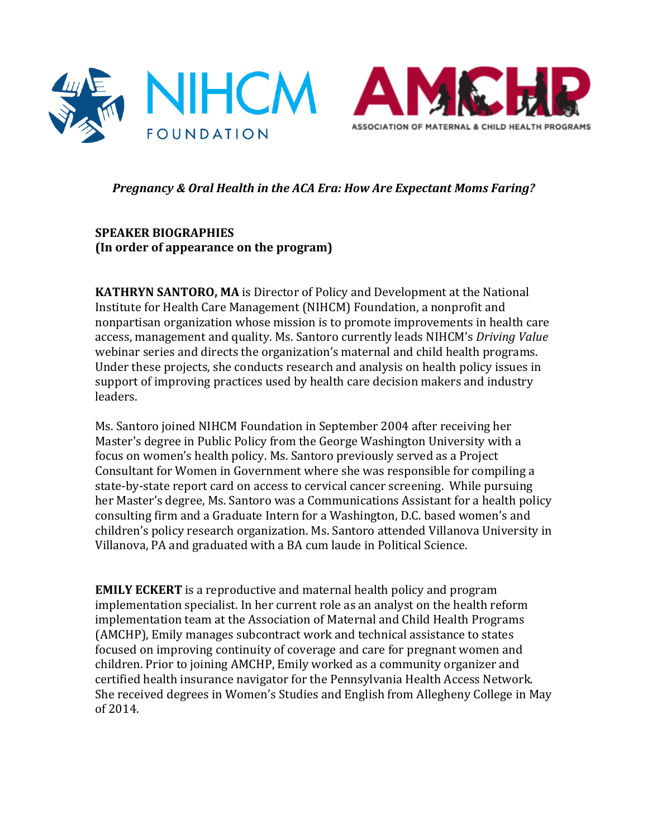



## **Pregnancy & Oral Health in the ACA Era: How Are Expectant Moms Faring?**

## **SPEAKER BIOGRAPHIES (In order of appearance on the program)**

**KATHRYN SANTORO, MA** is Director of Policy and Development at the National Institute for Health Care Management (NIHCM) Foundation, a nonprofit and nonpartisan organization whose mission is to promote improvements in health care access, management and quality. Ms. Santoro currently leads NIHCM's *Driving Value* webinar series and directs the organization's maternal and child health programs. Under these projects, she conducts research and analysis on health policy issues in support of improving practices used by health care decision makers and industry leaders. 

Ms. Santoro joined NIHCM Foundation in September 2004 after receiving her Master's degree in Public Policy from the George Washington University with a focus on women's health policy. Ms. Santoro previously served as a Project Consultant for Women in Government where she was responsible for compiling a state-by-state report card on access to cervical cancer screening. While pursuing her Master's degree, Ms. Santoro was a Communications Assistant for a health policy consulting firm and a Graduate Intern for a Washington, D.C. based women's and children's policy research organization. Ms. Santoro attended Villanova University in Villanova, PA and graduated with a BA cum laude in Political Science.

**EMILY ECKERT** is a reproductive and maternal health policy and program implementation specialist. In her current role as an analyst on the health reform implementation team at the Association of Maternal and Child Health Programs (AMCHP), Emily manages subcontract work and technical assistance to states focused on improving continuity of coverage and care for pregnant women and children. Prior to joining AMCHP, Emily worked as a community organizer and certified health insurance navigator for the Pennsylvania Health Access Network. She received degrees in Women's Studies and English from Allegheny College in May of 2014.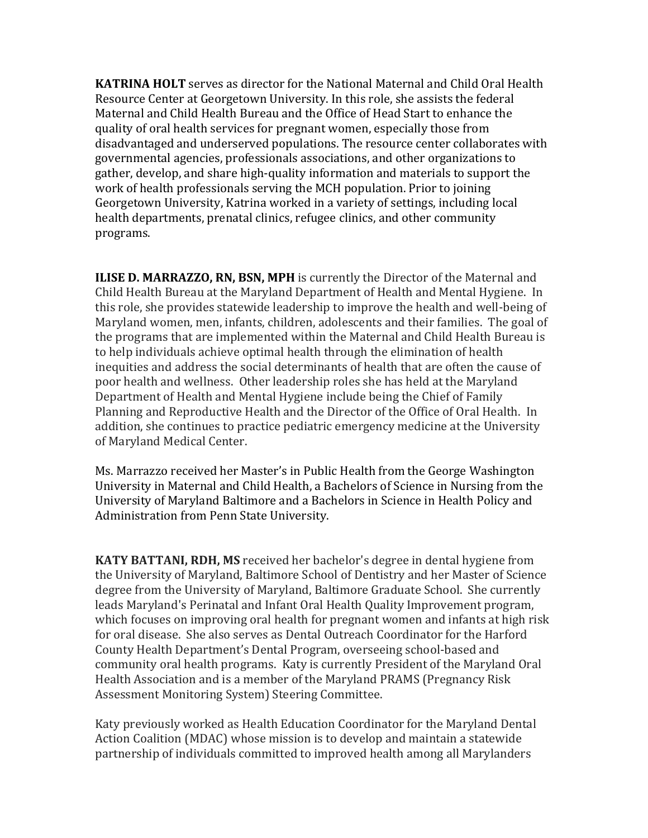**KATRINA HOLT** serves as director for the National Maternal and Child Oral Health Resource Center at Georgetown University. In this role, she assists the federal Maternal and Child Health Bureau and the Office of Head Start to enhance the quality of oral health services for pregnant women, especially those from disadvantaged and underserved populations. The resource center collaborates with governmental agencies, professionals associations, and other organizations to gather, develop, and share high-quality information and materials to support the work of health professionals serving the MCH population. Prior to joining Georgetown University, Katrina worked in a variety of settings, including local health departments, prenatal clinics, refugee clinics, and other community programs.

**ILISE D. MARRAZZO, RN, BSN, MPH** is currently the Director of the Maternal and Child Health Bureau at the Maryland Department of Health and Mental Hygiene. In this role, she provides statewide leadership to improve the health and well-being of Maryland women, men, infants, children, adolescents and their families. The goal of the programs that are implemented within the Maternal and Child Health Bureau is to help individuals achieve optimal health through the elimination of health inequities and address the social determinants of health that are often the cause of poor health and wellness. Other leadership roles she has held at the Maryland Department of Health and Mental Hygiene include being the Chief of Family Planning and Reproductive Health and the Director of the Office of Oral Health. In addition, she continues to practice pediatric emergency medicine at the University of Maryland Medical Center.

Ms. Marrazzo received her Master's in Public Health from the George Washington University in Maternal and Child Health, a Bachelors of Science in Nursing from the University of Maryland Baltimore and a Bachelors in Science in Health Policy and Administration from Penn State University.

**KATY BATTANI, RDH, MS** received her bachelor's degree in dental hygiene from the University of Maryland, Baltimore School of Dentistry and her Master of Science degree from the University of Maryland, Baltimore Graduate School. She currently leads Maryland's Perinatal and Infant Oral Health Quality Improvement program, which focuses on improving oral health for pregnant women and infants at high risk for oral disease. She also serves as Dental Outreach Coordinator for the Harford County Health Department's Dental Program, overseeing school-based and community oral health programs. Katy is currently President of the Maryland Oral Health Association and is a member of the Maryland PRAMS (Pregnancy Risk Assessment Monitoring System) Steering Committee.

Katy previously worked as Health Education Coordinator for the Maryland Dental Action Coalition (MDAC) whose mission is to develop and maintain a statewide partnership of individuals committed to improved health among all Marylanders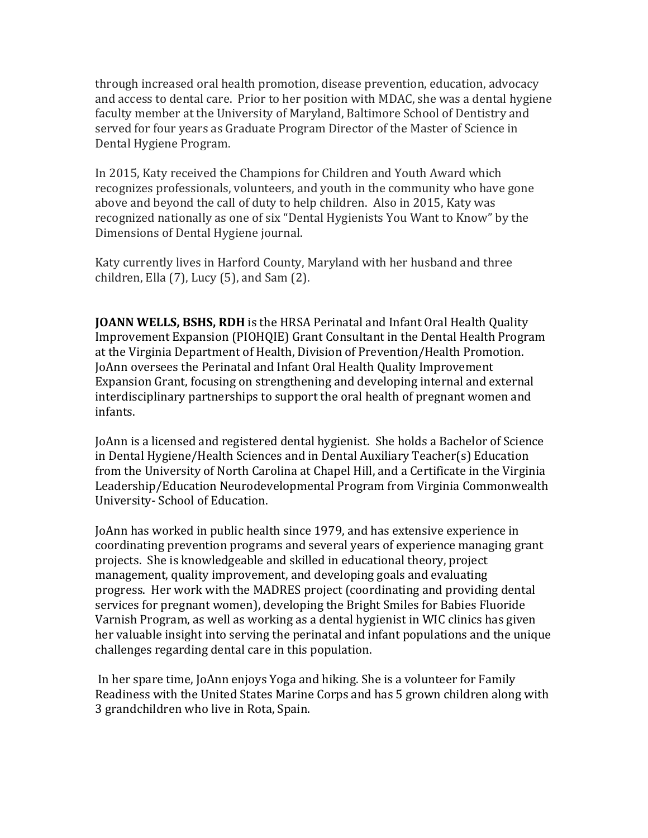through increased oral health promotion, disease prevention, education, advocacy and access to dental care. Prior to her position with MDAC, she was a dental hygiene faculty member at the University of Maryland, Baltimore School of Dentistry and served for four years as Graduate Program Director of the Master of Science in Dental Hygiene Program.

In 2015, Katy received the Champions for Children and Youth Award which recognizes professionals, volunteers, and youth in the community who have gone above and beyond the call of duty to help children. Also in 2015, Katy was recognized nationally as one of six "Dental Hygienists You Want to Know" by the Dimensions of Dental Hygiene journal.

Katy currently lives in Harford County, Maryland with her husband and three children, Ella  $(7)$ , Lucy  $(5)$ , and Sam  $(2)$ .

**JOANN WELLS, BSHS, RDH** is the HRSA Perinatal and Infant Oral Health Quality Improvement Expansion (PIOHQIE) Grant Consultant in the Dental Health Program at the Virginia Department of Health, Division of Prevention/Health Promotion. JoAnn oversees the Perinatal and Infant Oral Health Quality Improvement Expansion Grant, focusing on strengthening and developing internal and external interdisciplinary partnerships to support the oral health of pregnant women and infants. 

JoAnn is a licensed and registered dental hygienist. She holds a Bachelor of Science in Dental Hygiene/Health Sciences and in Dental Auxiliary Teacher(s) Education from the University of North Carolina at Chapel Hill, and a Certificate in the Virginia Leadership/Education Neurodevelopmental Program from Virginia Commonwealth University- School of Education.

JoAnn has worked in public health since 1979, and has extensive experience in coordinating prevention programs and several years of experience managing grant projects. She is knowledgeable and skilled in educational theory, project management, quality improvement, and developing goals and evaluating progress. Her work with the MADRES project (coordinating and providing dental services for pregnant women), developing the Bright Smiles for Babies Fluoride Varnish Program, as well as working as a dental hygienist in WIC clinics has given her valuable insight into serving the perinatal and infant populations and the unique challenges regarding dental care in this population.

In her spare time, JoAnn enjoys Yoga and hiking. She is a volunteer for Family Readiness with the United States Marine Corps and has 5 grown children along with 3 grandchildren who live in Rota, Spain.